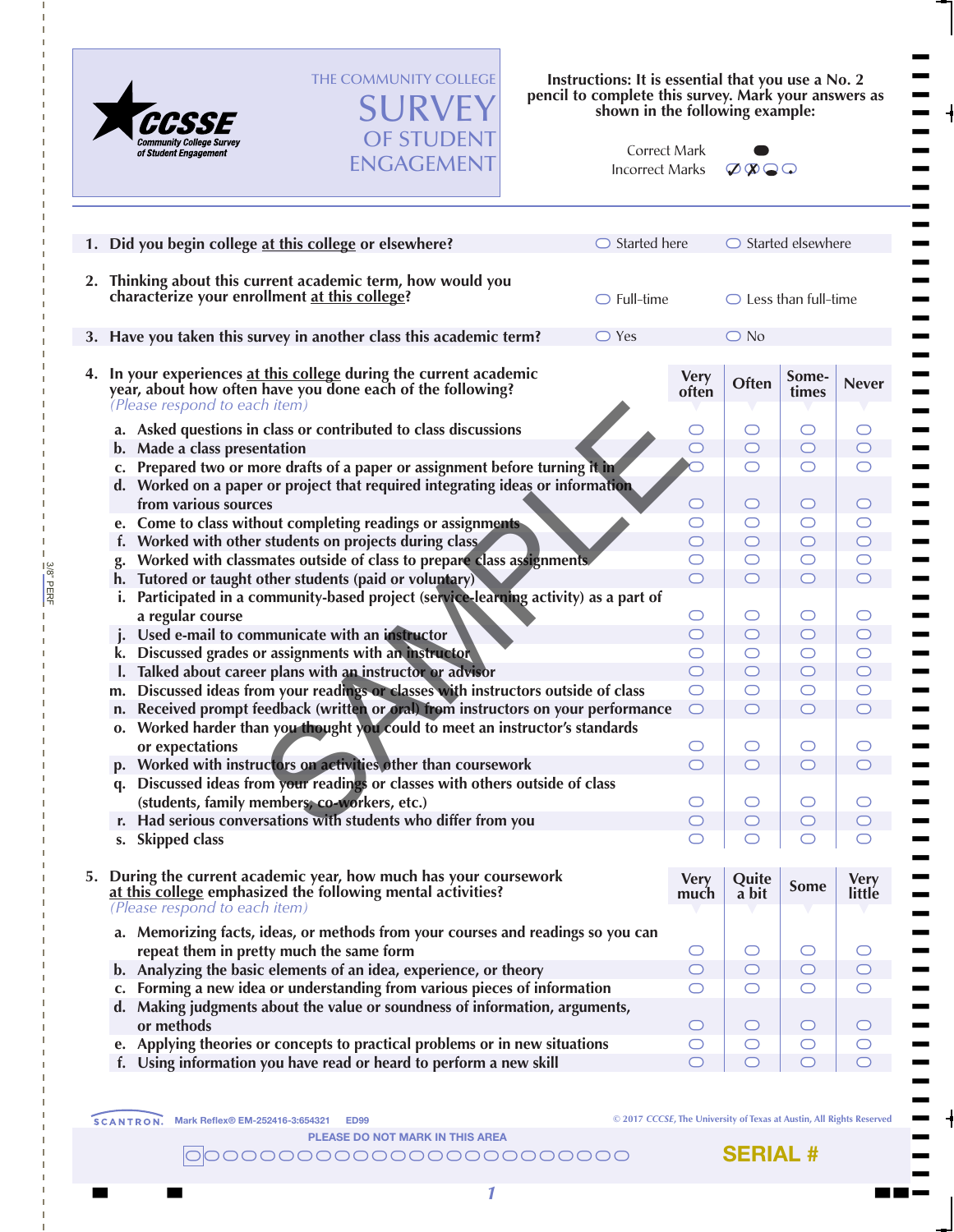

3/8" PERF

3/8" PERF

THE COMMUNITY COLLEGE SURVEY OF STUDENT

ENGAGEMENT

**Instructions: It is essential that you use a No. 2 pencil to complete this survey. Mark your answers as shown in the following example:**

| Correct Mark    |
|-----------------|
| Incorrect Marks |



 $\blacksquare$  $\blacksquare$  $\blacksquare$  $\blacksquare$  $\blacksquare$  $\blacksquare$  $\blacksquare$  $\blacksquare$ T  $\blacksquare$  $\blacksquare$  $\blacksquare$  $\blacksquare$  $\blacksquare$  $\blacksquare$  $\blacksquare$  $\blacksquare$  $\blacksquare$  $\blacksquare$  $\blacksquare$  $\blacksquare$  $\blacksquare$  $\blacksquare$  $\blacksquare$  $\blacksquare$  $\blacksquare$  $\blacksquare$  $\blacksquare$  $\blacksquare$  $\blacksquare$  $\blacksquare$  $\blacksquare$ T  $\blacksquare$  $\blacksquare$  $\blacksquare$  $\blacksquare$  $\blacksquare$  $\blacksquare$  $\blacksquare$  $\blacksquare$  $\blacksquare$  $\blacksquare$  $\blacksquare$  $\blacksquare$  $\blacksquare$  $\blacksquare$  $\blacksquare$  $\blacksquare$  $\blacksquare$  $\blacksquare$  $\blacksquare$  $\blacksquare$  $\blacksquare$  $\blacksquare$  $\blacksquare$  $\blacksquare$  $\blacksquare$ T T T

| $\bigcirc$ Started here | $\bigcirc$ Started elsewhere                                                                                |                                                                                              |                                                                          |  |  |
|-------------------------|-------------------------------------------------------------------------------------------------------------|----------------------------------------------------------------------------------------------|--------------------------------------------------------------------------|--|--|
|                         | $\bigcirc$ Less than full-time                                                                              |                                                                                              |                                                                          |  |  |
|                         |                                                                                                             |                                                                                              |                                                                          |  |  |
| <b>Very</b><br>often    | Often                                                                                                       | Some-<br>times                                                                               | <b>Never</b>                                                             |  |  |
| ( )                     | ◯                                                                                                           | O                                                                                            |                                                                          |  |  |
| $\bigcirc$              | $\bigcirc$                                                                                                  | $\bigcirc$                                                                                   | ◯                                                                        |  |  |
| ◯                       | O                                                                                                           | $\bigcirc$                                                                                   | O                                                                        |  |  |
|                         |                                                                                                             | O                                                                                            | O                                                                        |  |  |
|                         |                                                                                                             |                                                                                              | $\bigcirc$                                                               |  |  |
|                         |                                                                                                             |                                                                                              | $\bigcap$                                                                |  |  |
|                         |                                                                                                             |                                                                                              |                                                                          |  |  |
| O                       | O                                                                                                           | O                                                                                            |                                                                          |  |  |
| $\bigcirc$              | $\bigcirc$                                                                                                  | $\bigcirc$                                                                                   | $\bigcirc$                                                               |  |  |
| $\circlearrowright$     | $\circlearrowright$                                                                                         | $\circlearrowright$                                                                          | O                                                                        |  |  |
| $\bigcap$               | $\bigcap$                                                                                                   | $\bigcirc$                                                                                   | $\bigcirc$                                                               |  |  |
| O                       | $\circlearrowright$                                                                                         | $\circ$                                                                                      |                                                                          |  |  |
|                         |                                                                                                             |                                                                                              |                                                                          |  |  |
|                         |                                                                                                             |                                                                                              |                                                                          |  |  |
|                         |                                                                                                             |                                                                                              |                                                                          |  |  |
|                         |                                                                                                             |                                                                                              |                                                                          |  |  |
|                         |                                                                                                             |                                                                                              |                                                                          |  |  |
| $\bigcirc$              | $\bigcirc$                                                                                                  | $\circ$                                                                                      | $\bigcirc$                                                               |  |  |
| ⌒                       |                                                                                                             | ⌒                                                                                            |                                                                          |  |  |
|                         |                                                                                                             |                                                                                              |                                                                          |  |  |
| <b>Very</b><br>much     | Quite<br>a bit                                                                                              | <b>Some</b>                                                                                  | <b>Very</b><br>little                                                    |  |  |
| O                       | O                                                                                                           | $\circ$                                                                                      |                                                                          |  |  |
| $\bigcirc$              | $\bigcirc$                                                                                                  | $\bigcirc$                                                                                   | $\bigcirc$                                                               |  |  |
| O                       | $\circlearrowright$                                                                                         | $\bigcirc$                                                                                   |                                                                          |  |  |
| $\circ$                 | $\circlearrowright$                                                                                         | $\circ$                                                                                      | $\bigcirc$                                                               |  |  |
| O                       | O                                                                                                           | $\circ$                                                                                      |                                                                          |  |  |
| $\bigcirc$              | $\bigcirc$                                                                                                  | $\bigcirc$                                                                                   | $\bigcirc$                                                               |  |  |
|                         | $\circlearrowright$<br>$\bigcirc$<br>$\circlearrowright$<br>$\bigcirc$<br>$\bigcirc$<br>O<br>$\bigcap$<br>O | $\bigcirc$ No<br>◯<br>O<br>$\bigcirc$<br>O<br>$\bigcap$<br>$\bigcirc$<br>O<br>$\bigcap$<br>O | ◯<br>$\bigcirc$<br>O<br>$\bigcirc$<br>$\bigcirc$<br>O<br>$\bigcirc$<br>O |  |  |

**© 2017** *CCCSE***, The University of Texas at Austin, All Rights Reserved**

PLEASE DO NOT MARK IN THIS AREA

\\\\\\\\\\\\\\\\\\\\\\\\

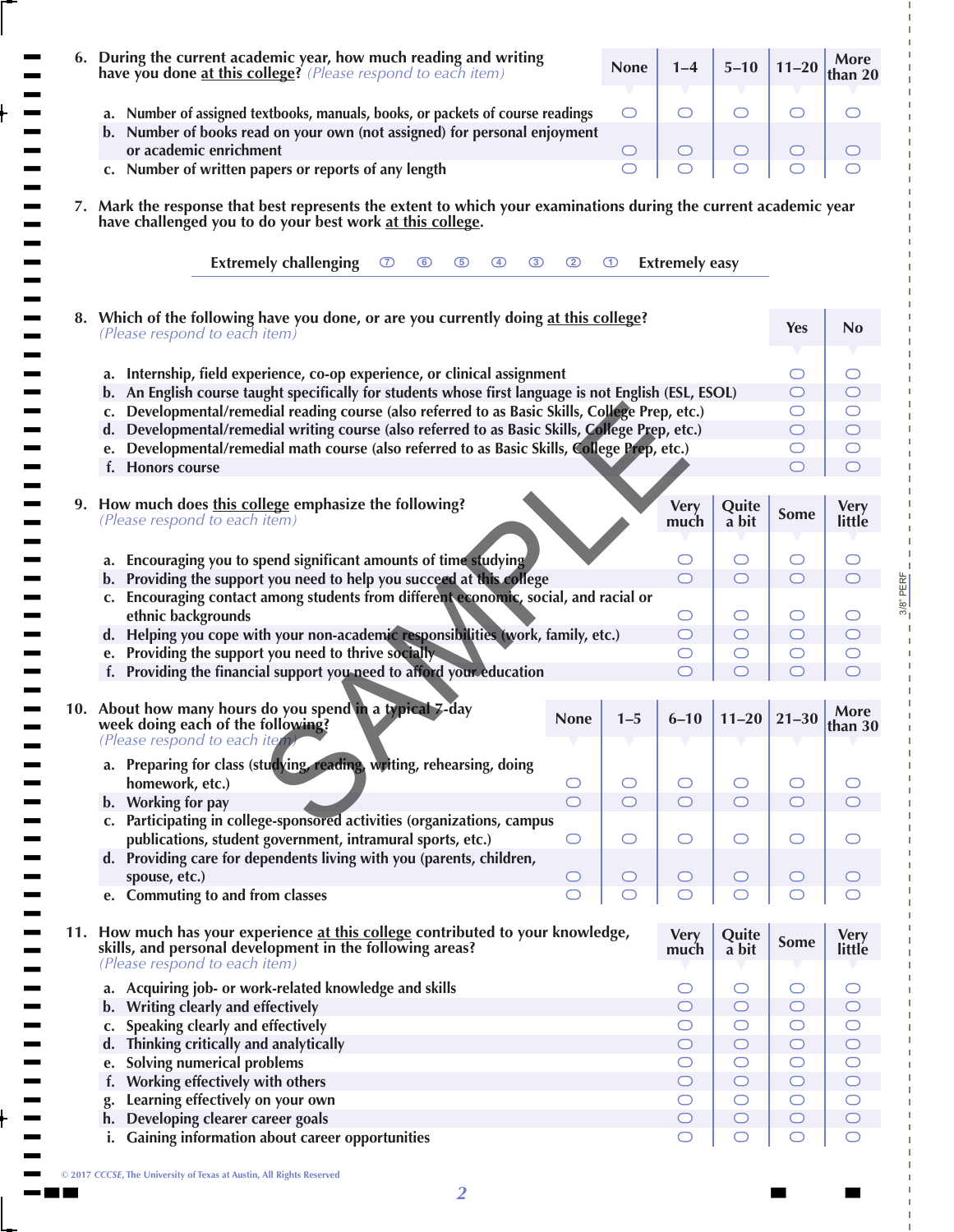| During the current academic year, how much reading and writing<br>have you done at this college? (Please respond to each item)                                                                        | <b>None</b>         | $1 - 4$               | $5 - 10$                          | $11 - 20$             | More<br>than 20       |
|-------------------------------------------------------------------------------------------------------------------------------------------------------------------------------------------------------|---------------------|-----------------------|-----------------------------------|-----------------------|-----------------------|
| a. Number of assigned textbooks, manuals, books, or packets of course readings<br>b. Number of books read on your own (not assigned) for personal enjoyment                                           | O                   | $\bigcirc$            | O                                 | O                     | ◯                     |
| or academic enrichment                                                                                                                                                                                | $\cup$              | $\bigcirc$            | $\bigcirc$                        | $\cup$                | O                     |
| c. Number of written papers or reports of any length                                                                                                                                                  | ◯                   | ◯                     | $\circlearrowright$               | O                     | ◯                     |
| 7. Mark the response that best represents the extent to which your examinations during the current academic year<br>have challenged you to do your best work at this college.                         |                     |                       |                                   |                       |                       |
| <b>Extremely challenging</b><br>$\circledcirc$<br>$\circ$<br>$\circledcirc$<br>$\circ$<br>$\circled{4}$<br>$\circled{3}$                                                                              | $\bigcirc$          | <b>Extremely easy</b> |                                   |                       |                       |
| 8. Which of the following have you done, or are you currently doing at this college?<br>(Please respond to each item)                                                                                 |                     |                       |                                   | Yes                   | <b>No</b>             |
|                                                                                                                                                                                                       |                     |                       |                                   |                       |                       |
| a. Internship, field experience, co-op experience, or clinical assignment                                                                                                                             |                     |                       |                                   | $\cup$                | ◯                     |
| b. An English course taught specifically for students whose first language is not English (ESL, ESOL)                                                                                                 |                     |                       |                                   | O                     | O                     |
| Developmental/remedial reading course (also referred to as Basic Skills, College Prep, etc.)<br>$\mathbf{c}$ .                                                                                        |                     |                       |                                   | O                     | O                     |
| Developmental/remedial writing course (also referred to as Basic Skills, College Prep, etc.)<br>d.<br>Developmental/remedial math course (also referred to as Basic Skills, College Prep, etc.)<br>e. |                     |                       |                                   | O<br>O                | $\bigcirc$<br>O       |
| f. Honors course                                                                                                                                                                                      |                     |                       |                                   |                       | ◯                     |
|                                                                                                                                                                                                       |                     |                       |                                   |                       |                       |
| 9. How much does this college emphasize the following?<br>(Please respond to each item)                                                                                                               |                     | <b>Very</b><br>much   | Quite<br>a bit                    | <b>Some</b>           | <b>Very</b><br>little |
|                                                                                                                                                                                                       |                     |                       |                                   |                       |                       |
| a. Encouraging you to spend significant amounts of time studying                                                                                                                                      |                     | O                     | O                                 | O                     | O                     |
| b. Providing the support you need to help you succeed at this college                                                                                                                                 |                     | $\bigcirc$            | $\bigcirc$                        | $\bigcirc$            | $\bigcirc$            |
| c. Encouraging contact among students from different economic, social, and racial or                                                                                                                  |                     |                       |                                   |                       |                       |
| ethnic backgrounds<br>d. Helping you cope with your non-academic responsibilities (work, family, etc.)                                                                                                |                     | $\circ$<br>$\circ$    | O<br>$\circ$                      | O<br>$\circ$          | O<br>$\bigcirc$       |
| Providing the support you need to thrive socially<br>e.                                                                                                                                               |                     | $\circ$               | $\circlearrowright$               | O                     | O                     |
| f. Providing the financial support you need to afford your education                                                                                                                                  |                     |                       | ◯                                 |                       |                       |
|                                                                                                                                                                                                       |                     |                       |                                   |                       |                       |
| 10. About how many hours do you spend in a typical 7-day<br><b>None</b>                                                                                                                               | $1 - 5$             | $6 - 10$              |                                   |                       | More                  |
| week doing each of the following?<br>(Please respond to each item                                                                                                                                     |                     |                       | $11 - 20$                         | $21 - 30$             | than 30               |
| a. Preparing for class (studying, reading, writing, rehearsing, doing                                                                                                                                 |                     |                       |                                   |                       |                       |
| homework, etc.)<br>$\circlearrowright$                                                                                                                                                                | O                   | $\circ$               | $\bigcirc$                        | O                     | ◯                     |
| b. Working for pay<br>$\circ$                                                                                                                                                                         | $\bigcirc$          | $\circ$               | $\bigcirc$                        | $\bigcirc$            | $\bigcirc$            |
| c. Participating in college-sponsored activities (organizations, campus<br>publications, student government, intramural sports, etc.)<br>$\circ$                                                      | $\circlearrowright$ | $\bigcirc$            | $\bigcirc$                        | O                     | O                     |
| d. Providing care for dependents living with you (parents, children,                                                                                                                                  |                     |                       |                                   |                       |                       |
| spouse, etc.)<br>O                                                                                                                                                                                    | O                   | $\bigcirc$            | $\circ$                           | O                     |                       |
| e. Commuting to and from classes<br>$\bigcirc$                                                                                                                                                        | $\circlearrowright$ | $\circlearrowright$   | $\bigcirc$                        | $\bigcirc$            |                       |
| 11. How much has your experience at this college contributed to your knowledge,<br>skills, and personal development in the following areas?                                                           |                     | <b>Very</b><br>much   | Quite<br>a bit                    | Some                  | <b>Very</b><br>little |
| (Please respond to each item)                                                                                                                                                                         |                     |                       |                                   |                       | O                     |
| a. Acquiring job- or work-related knowledge and skills                                                                                                                                                |                     | $\circ$<br>$\circ$    | $\circlearrowright$<br>$\bigcirc$ | O<br>$\bigcirc$       | $\circ$               |
| b. Writing clearly and effectively<br>Speaking clearly and effectively<br>c.                                                                                                                          |                     | $\circ$               | $\bigcirc$                        | $\circ$               | $\circlearrowright$   |
| d. Thinking critically and analytically                                                                                                                                                               |                     | $\circ$               | $\bigcirc$                        | $\bigcirc$            | $\bigcirc$            |
| <b>Solving numerical problems</b><br>e.                                                                                                                                                               |                     | $\circ$               | $\bigcirc$                        | $\circ$               | $\circ$               |
| Working effectively with others<br>f.                                                                                                                                                                 |                     | $\circ$               | $\bigcirc$                        | $\bigcirc$            | $\bigcirc$            |
| Learning effectively on your own                                                                                                                                                                      |                     | $\circ$               | $\circ$                           | $\circ$               | $\circlearrowright$   |
| Developing clearer career goals<br>h.<br><b>Gaining information about career opportunities</b><br>i.                                                                                                  |                     | $\circ$<br>O          | $\circ$<br>$\bigcirc$             | $\bigcirc$<br>$\circ$ | $\bigcirc$<br>O       |

3/8" PERF

 $3/8$ " PERF

**© 2017** *CCCSE***, The University of Texas at Austin, All Rights Reserved**

t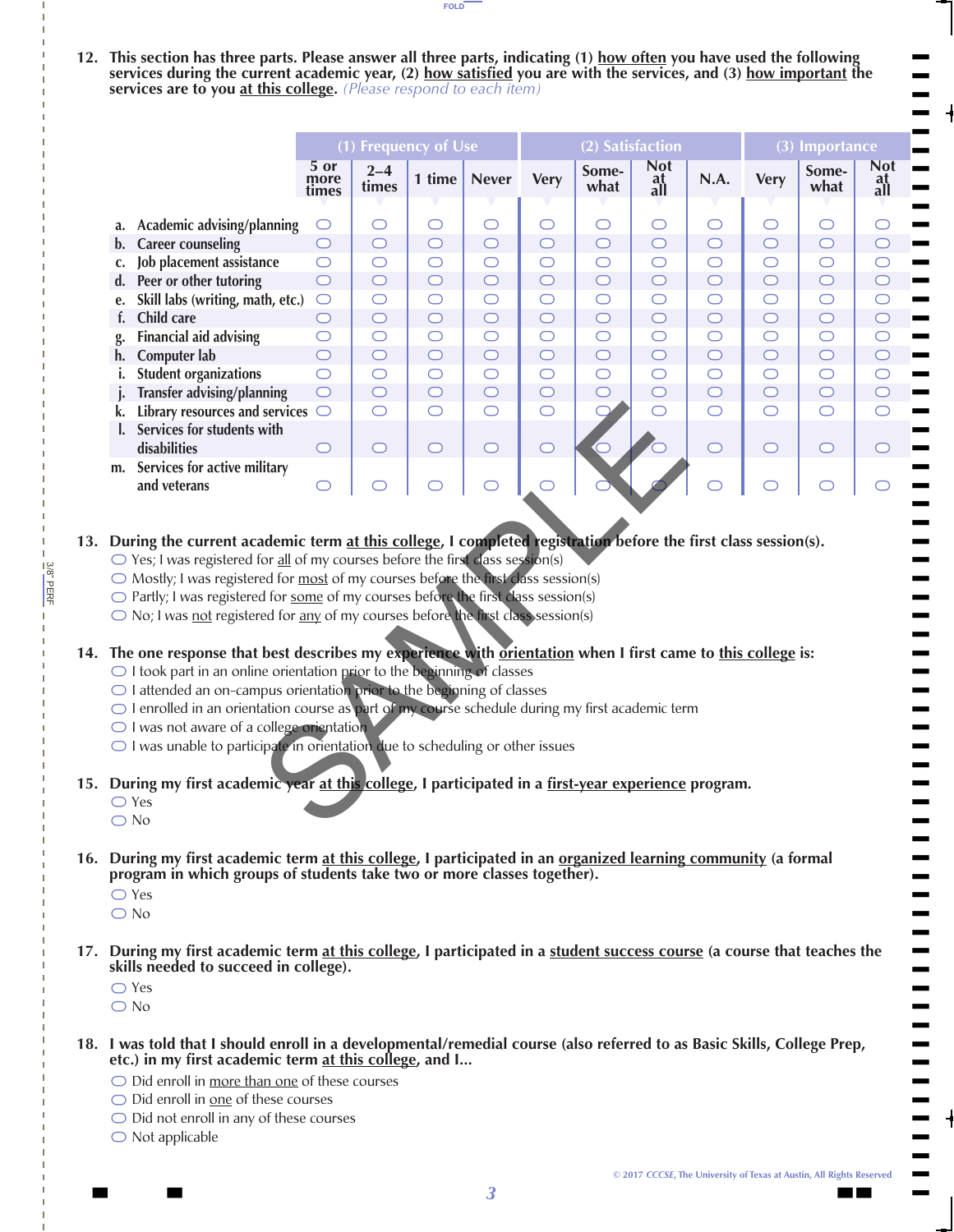**12. This section has three parts. Please answer all three parts, indicating (1) how often you have used the following**  services during the current academic year, (2) how satisfied you are with the services, and (3) how important the **services are to you at this college.** *(Please respond to each item)*

FOLD

|                                                                                                                                                                                                                                                                                                                                                                                                                                                                                                                                                                                                                                                                                                                                                                                                                                                                                                                                                                                                                                                                 |                                                                                                                                                                                                                                          | $\overline{(1)}$ Frequency of Use<br>(2) Satisfaction |                  |            |              |             |               |                         |            |             | (3) Importance |                         |
|-----------------------------------------------------------------------------------------------------------------------------------------------------------------------------------------------------------------------------------------------------------------------------------------------------------------------------------------------------------------------------------------------------------------------------------------------------------------------------------------------------------------------------------------------------------------------------------------------------------------------------------------------------------------------------------------------------------------------------------------------------------------------------------------------------------------------------------------------------------------------------------------------------------------------------------------------------------------------------------------------------------------------------------------------------------------|------------------------------------------------------------------------------------------------------------------------------------------------------------------------------------------------------------------------------------------|-------------------------------------------------------|------------------|------------|--------------|-------------|---------------|-------------------------|------------|-------------|----------------|-------------------------|
|                                                                                                                                                                                                                                                                                                                                                                                                                                                                                                                                                                                                                                                                                                                                                                                                                                                                                                                                                                                                                                                                 |                                                                                                                                                                                                                                          | 5 or<br>more<br>times                                 | $2 - 4$<br>times | 1 time $ $ | <b>Never</b> | <b>Very</b> | Some-<br>what | <b>Not</b><br>at<br>all | N.A.       | <b>Very</b> | Some-<br>what  | <b>Not</b><br>at<br>all |
| a.                                                                                                                                                                                                                                                                                                                                                                                                                                                                                                                                                                                                                                                                                                                                                                                                                                                                                                                                                                                                                                                              | Academic advising/planning                                                                                                                                                                                                               | $\bigcirc$                                            | $\circ$          | $\circ$    | $\bigcirc$   | $\circ$     | $\bigcirc$    | $\bigcirc$              | $\bigcirc$ | $\bigcirc$  | $\bigcirc$     | $\bigcirc$              |
| $\mathbf{b}$ .                                                                                                                                                                                                                                                                                                                                                                                                                                                                                                                                                                                                                                                                                                                                                                                                                                                                                                                                                                                                                                                  | <b>Career counseling</b>                                                                                                                                                                                                                 | $\bigcirc$                                            | $\bigcirc$       | $\bigcirc$ | $\bigcirc$   | $\circ$     | $\bigcirc$    | $\bigcirc$              | $\bigcirc$ | $\bigcirc$  | $\bigcirc$     | $\bigcirc$              |
| c.                                                                                                                                                                                                                                                                                                                                                                                                                                                                                                                                                                                                                                                                                                                                                                                                                                                                                                                                                                                                                                                              | Job placement assistance                                                                                                                                                                                                                 | $\bigcirc$                                            | $\bigcirc$       | $\bigcirc$ | $\bigcirc$   | $\circ$     | $\bigcirc$    | $\bigcirc$              | $\bigcirc$ | $\bigcirc$  | $\bigcirc$     | $\bigcirc$              |
| $d_{\cdot}$                                                                                                                                                                                                                                                                                                                                                                                                                                                                                                                                                                                                                                                                                                                                                                                                                                                                                                                                                                                                                                                     | Peer or other tutoring                                                                                                                                                                                                                   | $\bigcirc$                                            | $\bigcirc$       | $\circ$    | $\bigcirc$   | $\circ$     | $\bigcirc$    | $\circ$                 | $\bigcirc$ | $\bigcirc$  | $\bigcirc$     | $\bigcirc$              |
| e.                                                                                                                                                                                                                                                                                                                                                                                                                                                                                                                                                                                                                                                                                                                                                                                                                                                                                                                                                                                                                                                              | Skill labs (writing, math, etc.)                                                                                                                                                                                                         | $\bigcirc$                                            | $\bigcirc$       | $\bigcirc$ | $\bigcirc$   | $\bigcirc$  | $\bigcirc$    | $\bigcirc$              | $\bigcirc$ | $\bigcirc$  | $\bigcirc$     | $\bigcirc$              |
| f.                                                                                                                                                                                                                                                                                                                                                                                                                                                                                                                                                                                                                                                                                                                                                                                                                                                                                                                                                                                                                                                              | Child care                                                                                                                                                                                                                               | $\circ$                                               | $\bigcirc$       | $\bigcirc$ | $\bigcirc$   | $\circ$     | $\bigcirc$    | $\circ$                 | $\bigcirc$ | $\bigcirc$  | $\bigcirc$     | $\bigcirc$              |
| g.                                                                                                                                                                                                                                                                                                                                                                                                                                                                                                                                                                                                                                                                                                                                                                                                                                                                                                                                                                                                                                                              | <b>Financial aid advising</b>                                                                                                                                                                                                            | $\bigcirc$                                            | $\bigcirc$       | $\bigcirc$ | $\bigcirc$   | $\bigcirc$  | $\bigcirc$    | $\bigcirc$              | $\bigcirc$ | $\bigcirc$  | $\bigcirc$     | $\bigcirc$              |
| h.                                                                                                                                                                                                                                                                                                                                                                                                                                                                                                                                                                                                                                                                                                                                                                                                                                                                                                                                                                                                                                                              | Computer lab                                                                                                                                                                                                                             | $\bigcirc$                                            | $\bigcirc$       | $\bigcirc$ | $\bigcirc$   | $\circ$     | $\bigcirc$    | $\circ$                 | $\bigcirc$ | $\bigcirc$  | $\bigcirc$     | $\bigcirc$              |
| i.                                                                                                                                                                                                                                                                                                                                                                                                                                                                                                                                                                                                                                                                                                                                                                                                                                                                                                                                                                                                                                                              | <b>Student organizations</b>                                                                                                                                                                                                             | $\bigcirc$                                            | $\bigcirc$       | $\bigcirc$ | $\bigcirc$   | $\circ$     | $\bigcirc$    | $\bigcirc$              | $\bigcirc$ | $\bigcirc$  | $\bigcirc$     | $\bigcirc$              |
|                                                                                                                                                                                                                                                                                                                                                                                                                                                                                                                                                                                                                                                                                                                                                                                                                                                                                                                                                                                                                                                                 | Transfer advising/planning                                                                                                                                                                                                               | $\bigcirc$                                            | $\bigcirc$       | $\bigcirc$ | $\bigcirc$   | $\circ$     | $\bigcirc$    | $\bigcirc$              | $\bigcirc$ | $\bigcirc$  | $\bigcirc$     | $\bigcirc$              |
| k.                                                                                                                                                                                                                                                                                                                                                                                                                                                                                                                                                                                                                                                                                                                                                                                                                                                                                                                                                                                                                                                              | Library resources and services $\bigcirc$                                                                                                                                                                                                |                                                       | $\bigcirc$       | $\bigcirc$ | $\bigcirc$   | $\bigcirc$  |               | $\bigcirc$              | $\bigcirc$ | $\bigcirc$  | $\bigcirc$     | $\bigcirc$              |
|                                                                                                                                                                                                                                                                                                                                                                                                                                                                                                                                                                                                                                                                                                                                                                                                                                                                                                                                                                                                                                                                 | Services for students with                                                                                                                                                                                                               |                                                       |                  |            |              |             |               |                         |            |             |                |                         |
|                                                                                                                                                                                                                                                                                                                                                                                                                                                                                                                                                                                                                                                                                                                                                                                                                                                                                                                                                                                                                                                                 | disabilities                                                                                                                                                                                                                             | $\circ$                                               | $\bigcirc$       | $\bigcirc$ | $\bigcirc$   | $\bigcirc$  |               |                         | $\bigcirc$ | $\circ$     | $\circ$        | C                       |
|                                                                                                                                                                                                                                                                                                                                                                                                                                                                                                                                                                                                                                                                                                                                                                                                                                                                                                                                                                                                                                                                 | m. Services for active military<br>and veterans                                                                                                                                                                                          | $\bigcirc$                                            |                  |            | ◯            |             |               |                         |            |             | $\bigcirc$     | ⊂                       |
|                                                                                                                                                                                                                                                                                                                                                                                                                                                                                                                                                                                                                                                                                                                                                                                                                                                                                                                                                                                                                                                                 |                                                                                                                                                                                                                                          |                                                       |                  |            |              |             |               |                         |            |             |                |                         |
| ○ Yes; I was registered for all of my courses before the first class session(s)<br>○ Mostly; I was registered for most of my courses before the first class session(s)<br>○ Partly; I was registered for some of my courses before the first class session(s)<br>$\bigcirc$ No; I was <u>not</u> registered for <u>any</u> of my courses before the first class session(s)<br>The one response that best describes my experience with orientation when I first came to this college is:<br>$\bigcirc$ I took part in an online orientation prior to the beginning of classes<br>$\bigcirc$ I attended an on-campus orientation prior to the beginning of classes<br>O I enrolled in an orientation course as part of my course schedule during my first academic term<br>$\bigcirc$ I was not aware of a college orientation<br>$\bigcirc$ I was unable to participate in orientation due to scheduling or other issues<br>During my first academic year at this college, I participated in a first-year experience program.<br>$\bigcirc$ Yes<br>$\bigcirc$ No |                                                                                                                                                                                                                                          |                                                       |                  |            |              |             |               |                         |            |             |                |                         |
| During my first academic term at this college, I participated in an organized learning community (a formal<br>program in which groups of students take two or more classes together).<br>$\bigcirc$ Yes<br>٠<br>$\bigcirc$ No<br>٠<br>$\overline{\phantom{0}}$                                                                                                                                                                                                                                                                                                                                                                                                                                                                                                                                                                                                                                                                                                                                                                                                  |                                                                                                                                                                                                                                          |                                                       |                  |            |              |             |               |                         |            |             |                |                         |
| $\bigcirc$ No                                                                                                                                                                                                                                                                                                                                                                                                                                                                                                                                                                                                                                                                                                                                                                                                                                                                                                                                                                                                                                                   | During my first academic term at this college, I participated in a student success course (a course that teaches the<br>skills needed to succeed in college).<br>$\bigcirc$ Yes                                                          |                                                       |                  |            |              |             |               |                         |            |             |                | -<br>-<br>۳<br>-        |
|                                                                                                                                                                                                                                                                                                                                                                                                                                                                                                                                                                                                                                                                                                                                                                                                                                                                                                                                                                                                                                                                 | I was told that I should enroll in a developmental/remedial course (also referred to as Basic Skills, College Prep,<br>etc.) in my first academic term at this college, and I<br>$\bigcirc$ Did enroll in more than one of these courses |                                                       |                  |            |              |             |               |                         |            |             |                | -<br>٠<br>and a         |

### **13. During the current academic term at this college, I completed registration before the first class session(s).**

- Yes; I was registered for all of my courses before the first class session(s)
- O Mostly; I was registered for most of my courses before the first class session(s)
- O Partly; I was registered for some of my courses before the first class session(s)
- O No; I was not registered for any of my courses before the first class session(s)

## $\bigcirc$   $\bigcirc$   $\bigcirc$   $\bigcirc$   $\bigcirc$   $\bigcirc$   $\bigcirc$   $\bigcirc$   $\bigcirc$   $\bigcirc$   $\bigcirc$   $\bigcirc$ **14. The one response that best describes my experience with orientation when I first came to this college is:**

- $\bigcirc$  I took part in an online orientation prior to the beginning of classes
- ◯ I attended an on-campus orientation prior to the beginning of classes
- O I enrolled in an orientation course as part of my course schedule during my first academic term
- O I was not aware of a college orientation O O O O O
- O I was unable to participate in orientation due to scheduling or other issues
- **15. During my first academic year at this college, I participated in a first-year experience program.**
	- Yes

3/8" PERF

3/8" PERE

- » No
- $\bigcirc$   $\bigcirc$   $\bigcirc$   $\bigcirc$   $\bigcirc$ ○○○○○○ Du ○○ Du pr ○○ Du ski ○○ **16. During my first academic term at this college, I participated in an organized learning community (a formal program in which groups of students take two or more classes together).**
	- Yes
	- » No
- $\bigcirc$   $\bigcirc$   $\bigcirc$   $\bigcirc$   $\bigcirc$ **17. During my first academic term at this college, I participated in a student success course (a course that teaches the skills needed to succeed in college).**
	- Yes

- \\\\**18. I was told that I should enroll in a developmental/remedial course (also referred to as Basic Skills, College Prep, etc.) in my first academic term at this college, and I...**
	- $\bigcirc$  Did enroll in more than one of these courses
	- ◯ Did enroll in <u>one</u> of these courses
	- ◯ Did not enroll in any of these courses
	- » Not applicable

 $\blacksquare$  $\blacksquare$  $\blacksquare$ 

 $\blacksquare$  $\blacksquare$  $\blacksquare$  $\blacksquare$  $\blacksquare$  $\blacksquare$  $\blacksquare$ T  $\blacksquare$  $\blacksquare$  $\blacksquare$  $\blacksquare$  $\blacksquare$  $\blacksquare$  $\blacksquare$  $\blacksquare$  $\blacksquare$  $\blacksquare$  $\blacksquare$  $\blacksquare$  $\blacksquare$  $\blacksquare$  $\blacksquare$  $\blacksquare$  $\blacksquare$  $\blacksquare$  $\blacksquare$  $\blacksquare$  $\blacksquare$  $\blacksquare$  $\blacksquare$  $\blacksquare$  $\blacksquare$  $\blacksquare$  $\blacksquare$  $\blacksquare$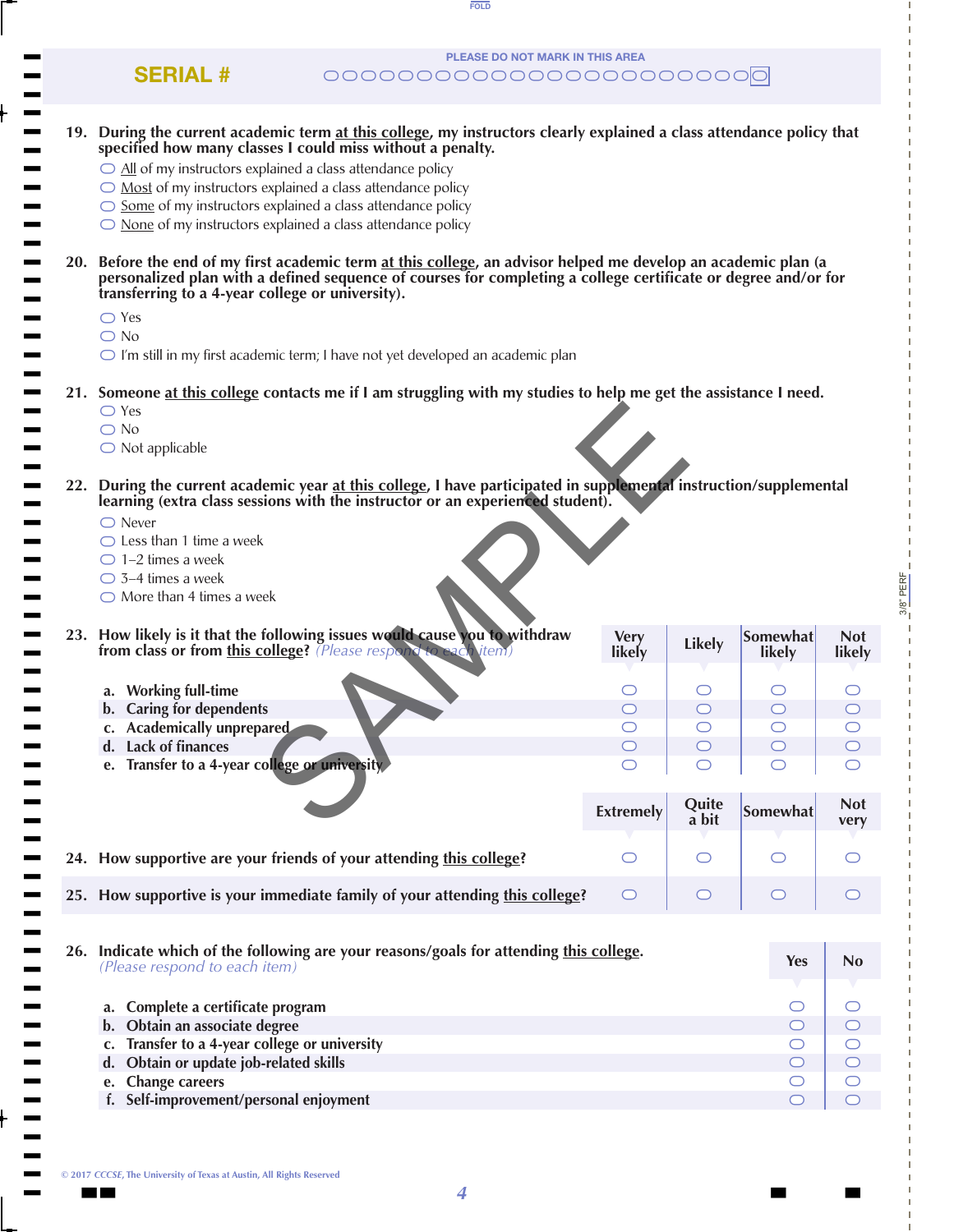| <b>PLEASE DO NOT MARK IN THIS AREA</b><br><b>SERIAL #</b>                                                                                                                                                                                                                                                                                                                                                                                                                           |                       |                |                     |                          |
|-------------------------------------------------------------------------------------------------------------------------------------------------------------------------------------------------------------------------------------------------------------------------------------------------------------------------------------------------------------------------------------------------------------------------------------------------------------------------------------|-----------------------|----------------|---------------------|--------------------------|
| 19. During the current academic term at this college, my instructors clearly explained a class attendance policy that<br>specified how many classes I could miss without a penalty.<br>$\bigcirc$ All of my instructors explained a class attendance policy<br>$\bigcirc$ Most of my instructors explained a class attendance policy<br>$\circ$ Some of my instructors explained a class attendance policy<br>$\bigcirc$ None of my instructors explained a class attendance policy |                       |                |                     |                          |
| 20. Before the end of my first academic term at this college, an advisor helped me develop an academic plan (a<br>personalized plan with a defined sequence of courses for completing a college certificate or degree and/or for<br>transferring to a 4-year college or university).<br>$\bigcirc$ Yes<br>$\bigcirc$ No<br>$\bigcirc$ I'm still in my first academic term; I have not yet developed an academic plan                                                                |                       |                |                     |                          |
| 21. Someone at this college contacts me if I am struggling with my studies to help me get the assistance I need.<br>$\bigcirc$ Yes<br>$\bigcirc$ No<br>$\bigcirc$ Not applicable                                                                                                                                                                                                                                                                                                    |                       |                |                     |                          |
| 22. During the current academic year at this college, I have participated in supplemental instruction/supplemental<br>learning (extra class sessions with the instructor or an experienced student).<br>$\bigcirc$ Never<br>$\bigcirc$ Less than 1 time a week<br>$\bigcirc$ 1-2 times a week<br>$\bigcirc$ 3-4 times a week<br>$\bigcirc$ More than 4 times a week                                                                                                                 |                       |                |                     |                          |
| 23. How likely is it that the following issues would cause you to withdraw<br>from class or from this college? (Please respond to each item)                                                                                                                                                                                                                                                                                                                                        | <b>Very</b><br>likely | <b>Likely</b>  | Somewhat<br>likely  | <b>Not</b><br>likely     |
| a. Working full-time                                                                                                                                                                                                                                                                                                                                                                                                                                                                |                       |                |                     |                          |
| b. Caring for dependents                                                                                                                                                                                                                                                                                                                                                                                                                                                            | $\subset$             |                | $\bigcirc$          |                          |
| c. Academically unprepared                                                                                                                                                                                                                                                                                                                                                                                                                                                          | $\smile$              |                |                     | $\smile$                 |
| d. Lack of finances                                                                                                                                                                                                                                                                                                                                                                                                                                                                 | $\bigcirc$            | $\bigcirc$     | $\bigcirc$          | $\circ$                  |
| e. Transfer to a 4-year college or university.                                                                                                                                                                                                                                                                                                                                                                                                                                      | O                     | O              |                     | $\circlearrowright$      |
|                                                                                                                                                                                                                                                                                                                                                                                                                                                                                     | <b>Extremely</b>      | Quite<br>a bit | Somewhat            | <b>Not</b><br>very       |
| 24. How supportive are your friends of your attending this college?                                                                                                                                                                                                                                                                                                                                                                                                                 | $\circlearrowright$   | O              | O                   |                          |
| 25. How supportive is your immediate family of your attending this college?                                                                                                                                                                                                                                                                                                                                                                                                         | O                     | O              | $\bigcirc$          |                          |
| 26. Indicate which of the following are your reasons/goals for attending this college.                                                                                                                                                                                                                                                                                                                                                                                              |                       |                |                     |                          |
| (Please respond to each item)                                                                                                                                                                                                                                                                                                                                                                                                                                                       |                       |                | <b>Yes</b>          | <b>No</b>                |
| a. Complete a certificate program                                                                                                                                                                                                                                                                                                                                                                                                                                                   |                       |                | O                   | O                        |
| b. Obtain an associate degree                                                                                                                                                                                                                                                                                                                                                                                                                                                       |                       |                | $\circlearrowright$ | $\bigcirc$               |
| c. Transfer to a 4-year college or university                                                                                                                                                                                                                                                                                                                                                                                                                                       |                       |                | O                   | $\bigcirc$               |
| d. Obtain or update job-related skills<br>e. Change careers                                                                                                                                                                                                                                                                                                                                                                                                                         |                       |                | $\bigcirc$<br>O     | $\bigcirc$<br>$\bigcirc$ |
| f. Self-improvement/personal enjoyment                                                                                                                                                                                                                                                                                                                                                                                                                                              |                       |                | $\bigcirc$          | $\bigcirc$               |
|                                                                                                                                                                                                                                                                                                                                                                                                                                                                                     |                       |                |                     |                          |

FOLD

3/8" PERF

 $3/8$ " PERF

 $\blacksquare$  ) and  $\blacksquare$  . The contract of  $\blacksquare$  , and  $\blacksquare$  , and  $\blacksquare$  , and  $\blacksquare$  , and  $\blacksquare$ **© 2017** *CCCSE***, The University of Texas at Austin, All Rights Reserved**

t t t t t t t t t t t t t t t t t t t t t t t t t t t t t t t t t t t t t t t t t t t t t t t t t t t t t t t t t t t t t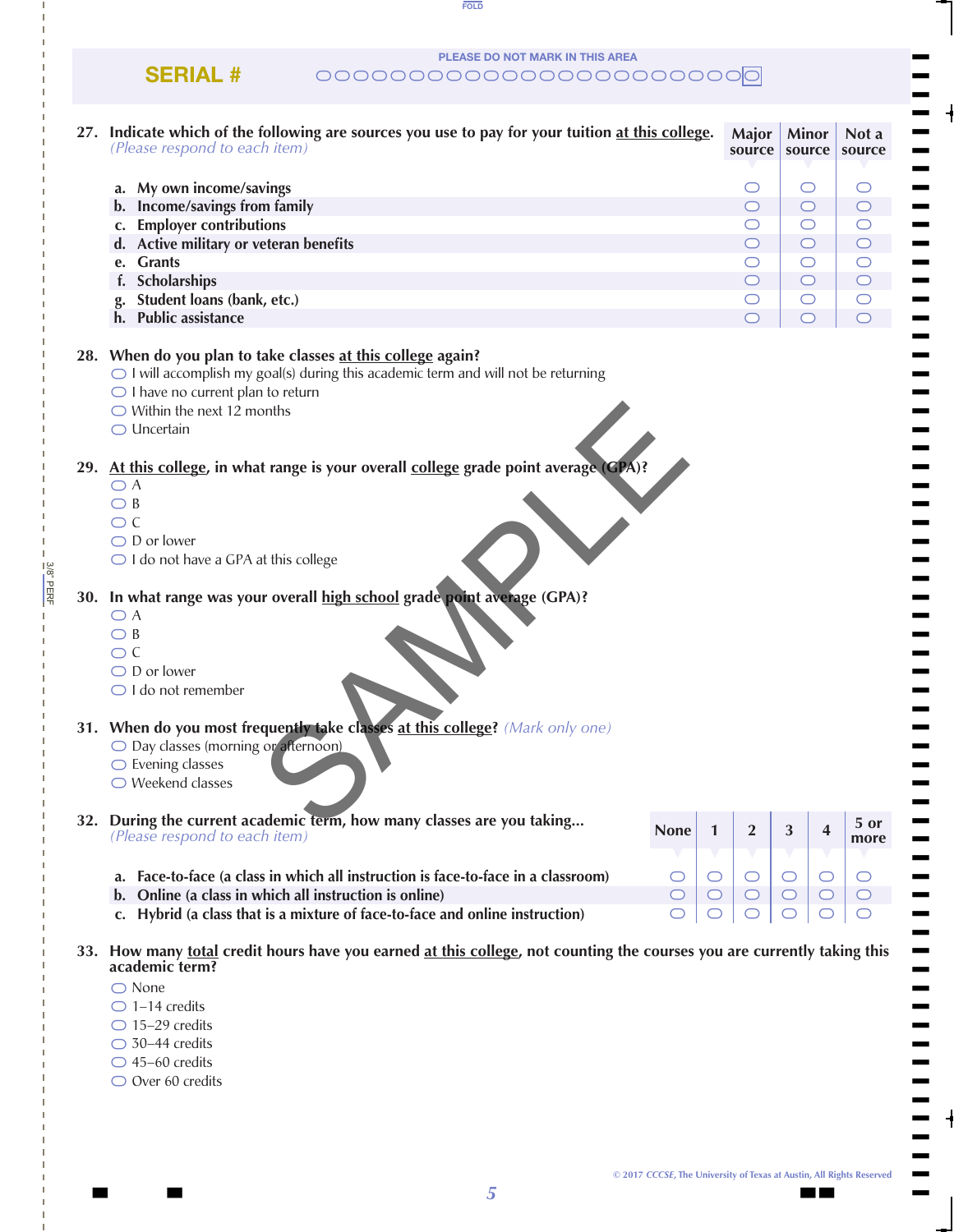PLEASE DO NOT MARK IN THIS AREA

FOLD

### $\text{SERIAL}$  #  $\text{OCOOOOOOOOOOOOOOOOOOOOOOOO}$

| 27. Indicate which of the following are sources you use to pay for your tuition at this college.<br>(Please respond to each item)                                                                                                                                         |             |              | Major<br>source     | <b>Minor</b><br>source | Not a<br>source     |
|---------------------------------------------------------------------------------------------------------------------------------------------------------------------------------------------------------------------------------------------------------------------------|-------------|--------------|---------------------|------------------------|---------------------|
| a. My own income/savings                                                                                                                                                                                                                                                  |             |              | $\circlearrowright$ | O                      | O                   |
| b. Income/savings from family                                                                                                                                                                                                                                             |             |              | $\bigcirc$          | $\circ$                | $\bigcirc$          |
| c. Employer contributions                                                                                                                                                                                                                                                 |             |              | $\circlearrowright$ | $\bigcirc$             | $\circlearrowright$ |
| d. Active military or veteran benefits                                                                                                                                                                                                                                    |             |              | $\bigcirc$          | $\circ$                | $\bigcirc$          |
| e. Grants                                                                                                                                                                                                                                                                 |             |              | $\bigcirc$          | $\bigcirc$             | $\bigcirc$          |
| f. Scholarships                                                                                                                                                                                                                                                           |             |              | $\circ$             | $\circ$                | $\bigcirc$          |
| g. Student loans (bank, etc.)                                                                                                                                                                                                                                             |             |              | $\circlearrowright$ | $\bigcirc$             | $\bigcirc$          |
| h. Public assistance                                                                                                                                                                                                                                                      |             |              | $\bigcirc$          | $\circ$                | $\bigcirc$          |
| 28. When do you plan to take classes at this college again?<br>$\bigcirc$ I will accomplish my goal(s) during this academic term and will not be returning<br>$\bigcirc$ I have no current plan to return<br>$\bigcirc$ Within the next 12 months<br>$\bigcirc$ Uncertain |             |              |                     |                        |                     |
| 29. At this college, in what range is your overall college grade point average (CPA)?                                                                                                                                                                                     |             |              |                     |                        |                     |
| $\bigcirc$ A                                                                                                                                                                                                                                                              |             |              |                     |                        |                     |
| $\bigcirc$ B                                                                                                                                                                                                                                                              |             |              |                     |                        |                     |
| $\bigcirc$ C                                                                                                                                                                                                                                                              |             |              |                     |                        |                     |
| $\bigcirc$ D or lower                                                                                                                                                                                                                                                     |             |              |                     |                        |                     |
| $\bigcirc$ I do not have a GPA at this college                                                                                                                                                                                                                            |             |              |                     |                        |                     |
|                                                                                                                                                                                                                                                                           |             |              |                     |                        |                     |
| 30. In what range was your overall high school grade point average (GPA)?                                                                                                                                                                                                 |             |              |                     |                        |                     |
| $\bigcirc$ A                                                                                                                                                                                                                                                              |             |              |                     |                        |                     |
| $\bigcirc$ B                                                                                                                                                                                                                                                              |             |              |                     |                        |                     |
| $\bigcirc$ C                                                                                                                                                                                                                                                              |             |              |                     |                        |                     |
| $\bigcirc$ D or lower                                                                                                                                                                                                                                                     |             |              |                     |                        |                     |
| $\bigcirc$ I do not remember                                                                                                                                                                                                                                              |             |              |                     |                        |                     |
|                                                                                                                                                                                                                                                                           |             |              |                     |                        |                     |
| 31. When do you most frequently take classes at this college? (Mark only one)                                                                                                                                                                                             |             |              |                     |                        |                     |
| O Day classes (morning or afternoon)                                                                                                                                                                                                                                      |             |              |                     |                        |                     |
| $\bigcirc$ Evening classes<br>$\bigcirc$ Weekend classes                                                                                                                                                                                                                  |             |              |                     |                        |                     |
|                                                                                                                                                                                                                                                                           |             |              |                     |                        |                     |
| 32. During the current academic term, how many classes are you taking                                                                                                                                                                                                     |             |              |                     |                        | 5 or                |
| (Please respond to each item)                                                                                                                                                                                                                                             | <b>None</b> | $\mathbf{1}$ | $\overline{2}$      | 3<br>4                 | more                |
|                                                                                                                                                                                                                                                                           |             |              |                     |                        |                     |
| a. Face-to-face (a class in which all instruction is face-to-face in a classroom)                                                                                                                                                                                         | $\circ$     | $\bigcirc$   | $\bigcirc$          | $\bigcirc$<br>$\circ$  | O                   |
| b. Online (a class in which all instruction is online)                                                                                                                                                                                                                    | $\circ$     | $\bigcirc$   | $\bigcirc$          | $\circ$<br>$\bigcirc$  | $\circ$             |
| c. Hybrid (a class that is a mixture of face-to-face and online instruction)                                                                                                                                                                                              | $\circ$     | $\circ$      | O                   | $\circ$<br>$\circ$     | O                   |
| 33. How many total credit hours have you earned at this college, not counting the courses you are currently taking this<br>academic term?                                                                                                                                 |             |              |                     |                        |                     |
| $\bigcirc$ None                                                                                                                                                                                                                                                           |             |              |                     |                        |                     |
| $\bigcirc$ 1-14 credits                                                                                                                                                                                                                                                   |             |              |                     |                        |                     |
| $\bigcirc$ 15-29 credits                                                                                                                                                                                                                                                  |             |              |                     |                        |                     |
| $\bigcirc$ 30-44 credits                                                                                                                                                                                                                                                  |             |              |                     |                        |                     |
| $\bigcirc$ 45-60 credits                                                                                                                                                                                                                                                  |             |              |                     |                        |                     |
| $\bigcirc$ Over 60 credits                                                                                                                                                                                                                                                |             |              |                     |                        |                     |

3/8" PERF

 $3/8$ " PERF

||

 $\blacksquare$  $\blacksquare$  $\blacksquare$  $\blacksquare$  $\blacksquare$  $\blacksquare$ 

 $\blacksquare$  $\blacksquare$  $\blacksquare$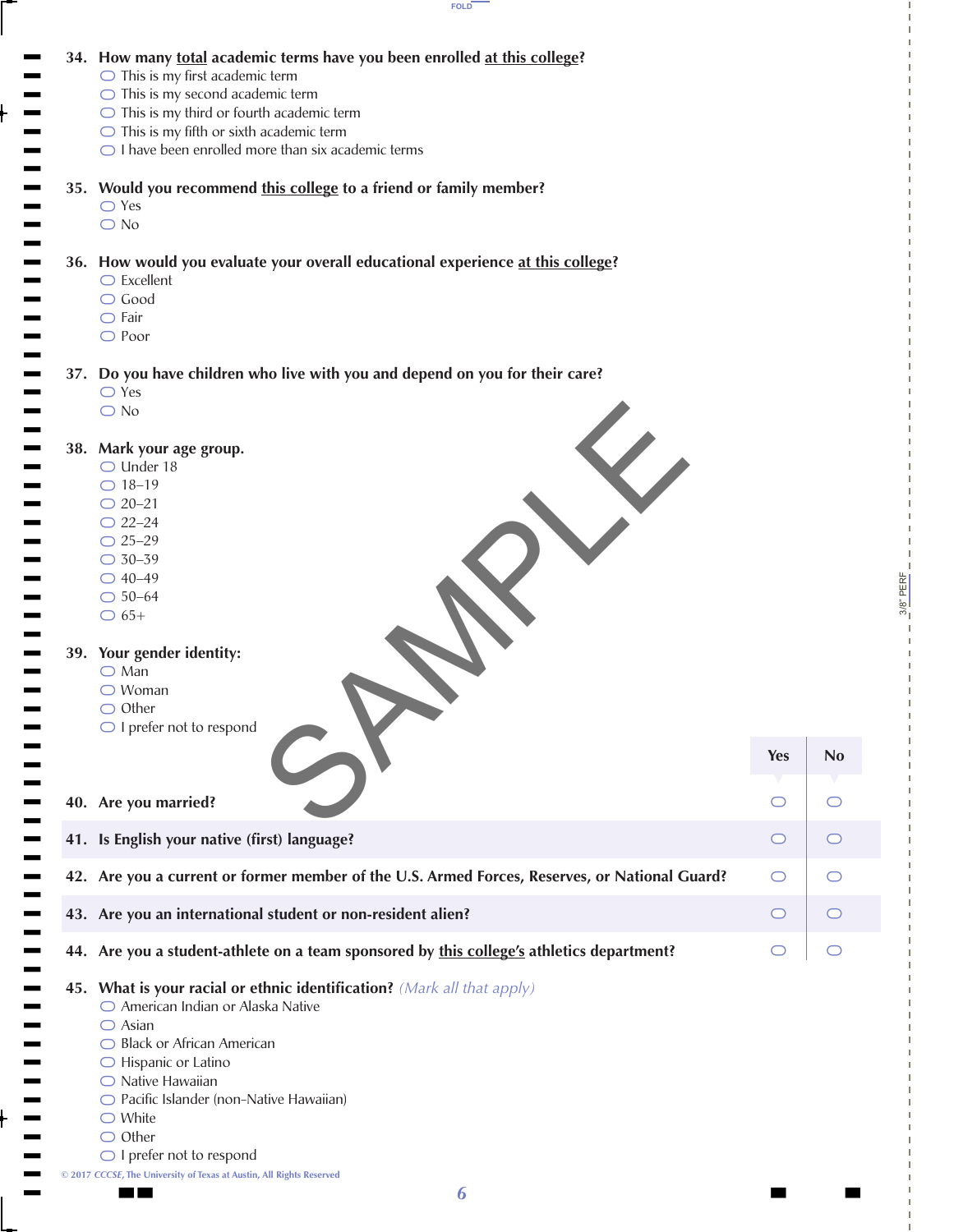



3/8" PERF

PERF

**Yes No** 

 $\begin{array}{c|cc} 0 & 0 & 0 \\ \hline 0 & 0 & 0 \\ \hline \end{array}$ 

 $\bigcap$ 

 $\bigcirc$ 

 $\circ$ 

 $\bigcirc$ 

 $\bigcap$ 

 $\bigcirc$ 

 $\bigcap$ 

 $\circ$ 

 $\bigcirc$ 

**© 2017** *CCCSE***, The University of Texas at Austin, All Rights Reserved**

 $\blacksquare$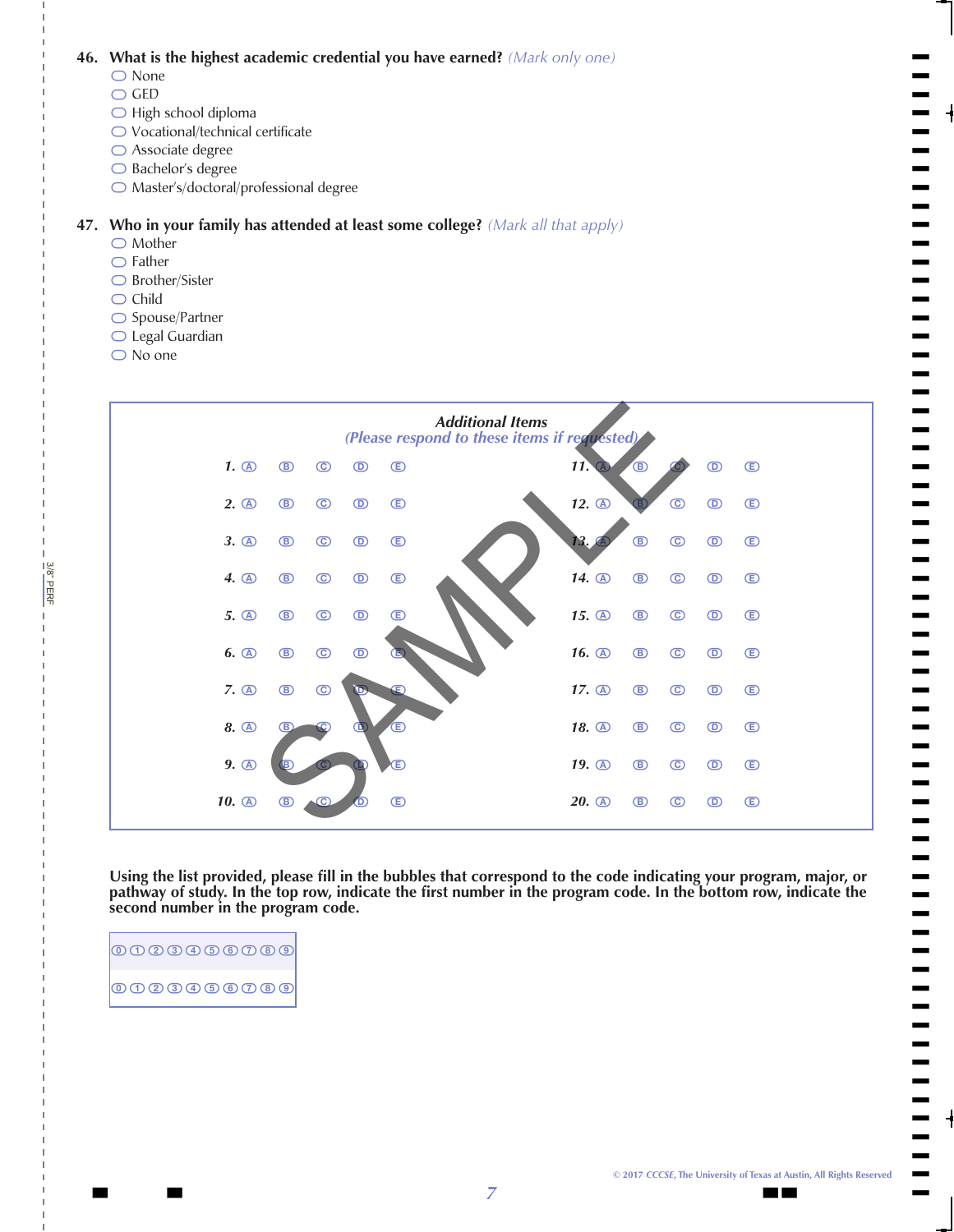**46. What is the highest academic credential you have earned?** *(Mark only one)*

- 0000000 ○ None
- » GED
- » High school diploma
- » Vocational/technical certificate
- » Associate degree
- » Bachelor's degree
- » Master's/doctoral/professional degree

# \\\\\\\» **47. Who in your family has attended at least some college?** *(Mark all that apply)*

- Mother
- » Father
- » Brother/Sister
- » Child
- » Spouse/Partner
- » Legal Guardian
- » No one

3/8" PERF

3/8" PERE



 **Using the list provided, please fill in the bubbles that correspond to the code indicating your program, major, or pathway of study. In the top row, indicate the first number in the program code. In the bottom row, indicate the second number in the program code.**

| $\boxed{{\mathbf 0} \oplus {\mathbf 0} \oplus {\mathbf 0} \oplus {\mathbf 0} \oplus {\mathbf 0}}$ |  |
|---------------------------------------------------------------------------------------------------|--|
| $\boxed{{\mathbf 0} \oplus {\mathbf 0} \oplus {\mathbf 0} \oplus {\mathbf 0} \oplus {\mathbf 0}}$ |  |

||